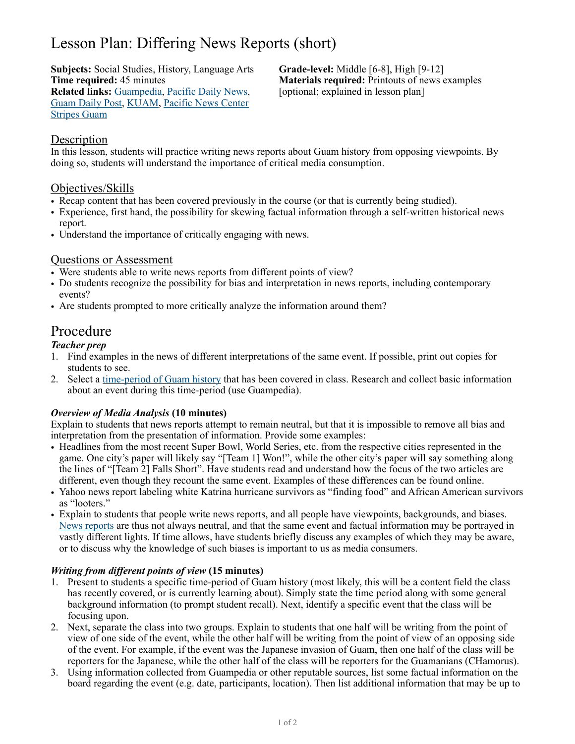# Lesson Plan: Differing News Reports (short)

**Subjects:** Social Studies, History, Language Arts **Grade-level:** Middle [6-8], High [9-12] **Time required:** 45 minutes **Materials required:** Printouts of news examples **Related links:** [Guampedia,](https://www.guampedia.com/) [Pacific Daily News,](https://www.guampdn.com/) [optional; explained in lesson plan] [Guam Daily Post,](https://www.postguam.com/) [KUAM,](https://www.kuam.com/) [Pacific News Center](https://www.pncguam.com/) [Stripes Guam](https://guam.stripes.com/)

# Description

In this lesson, students will practice writing news reports about Guam history from opposing viewpoints. By doing so, students will understand the importance of critical media consumption.

# Objectives/Skills

- Recap content that has been covered previously in the course (or that is currently being studied).
- Experience, first hand, the possibility for skewing factual information through a self-written historical news report.
- Understand the importance of critically engaging with news.

# Questions or Assessment

- Were students able to write news reports from different points of view?
- Do students recognize the possibility for bias and interpretation in news reports, including contemporary events?
- Are students prompted to more critically analyze the information around them?

# Procedure

# *Teacher prep*

- 1. Find examples in the news of different interpretations of the same event. If possible, print out copies for students to see.
- 2. Select a [time-period of Guam history](https://www.guampedia.com/historic-eras-of-guam/) that has been covered in class. Research and collect basic information about an event during this time-period (use Guampedia).

#### *Overview of Media Analysis* **(10 minutes)**

Explain to students that news reports attempt to remain neutral, but that it is impossible to remove all bias and interpretation from the presentation of information. Provide some examples:

- Headlines from the most recent Super Bowl, World Series, etc. from the respective cities represented in the game. One city's paper will likely say "[Team 1] Won!", while the other city's paper will say something along the lines of "[Team 2] Falls Short". Have students read and understand how the focus of the two articles are different, even though they recount the same event. Examples of these differences can be found online.
- Yahoo news report labeling white Katrina hurricane survivors as "finding food" and African American survivors as "looters."
- Explain to students that people write news reports, and all people have viewpoints, backgrounds, and biases. [News reports](https://fair.org/take-action-now/media-activism-kit/how-to-detect-bias-in-news-media/) are thus not always neutral, and that the same event and factual information may be portrayed in vastly different lights. If time allows, have students briefly discuss any examples of which they may be aware, or to discuss why the knowledge of such biases is important to us as media consumers.

#### *Writing from different points of view* **(15 minutes)**

- 1. Present to students a specific time-period of Guam history (most likely, this will be a content field the class has recently covered, or is currently learning about). Simply state the time period along with some general background information (to prompt student recall). Next, identify a specific event that the class will be focusing upon.
- 2. Next, separate the class into two groups. Explain to students that one half will be writing from the point of view of one side of the event, while the other half will be writing from the point of view of an opposing side of the event. For example, if the event was the Japanese invasion of Guam, then one half of the class will be reporters for the Japanese, while the other half of the class will be reporters for the Guamanians (CHamorus).
- 3. Using information collected from Guampedia or other reputable sources, list some factual information on the board regarding the event (e.g. date, participants, location). Then list additional information that may be up to